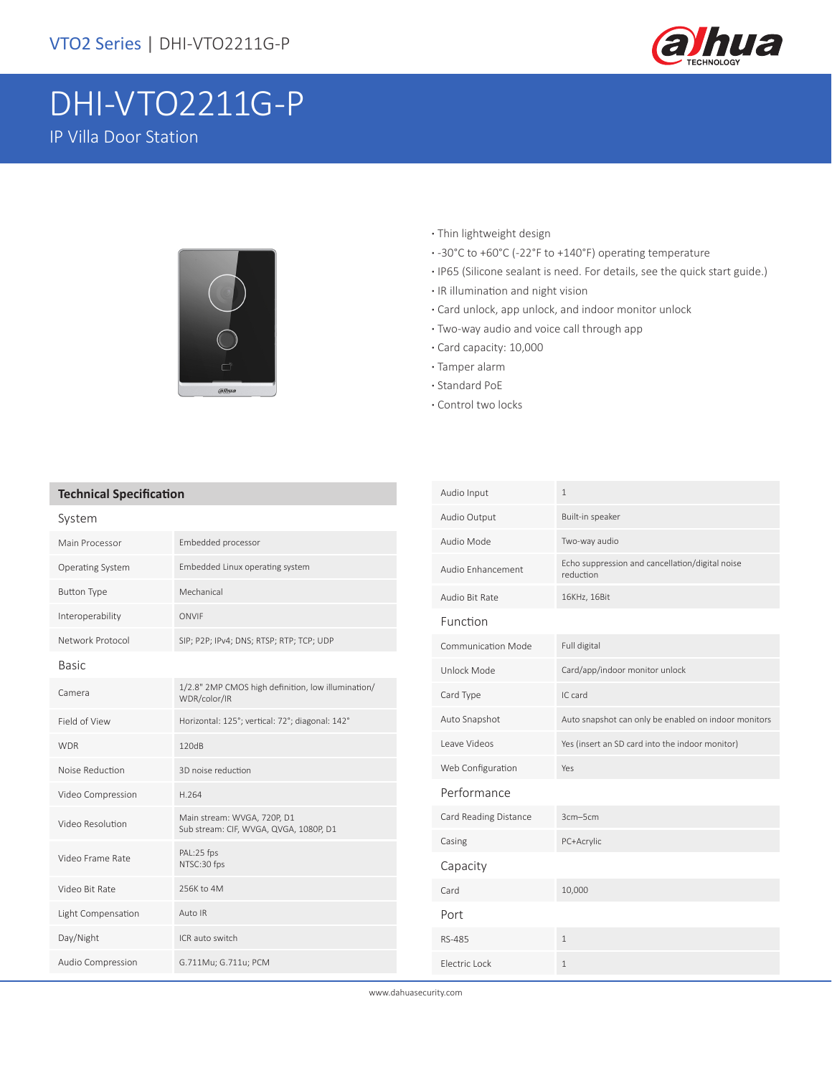

# DHI-VTO2211G-P IP Villa Door Station



- **·** Thin lightweight design
- **·** -30°C to +60°C (-22°F to +140°F) operating temperature
- **·** IP65 (Silicone sealant is need. For details, see the quick start guide.)
- **·** IR illumination and night vision
- **·** Card unlock, app unlock, and indoor monitor unlock
- **·** Two-way audio and voice call through app
- **·** Card capacity: 10,000
- **·** Tamper alarm
- **·** Standard PoE
- **·** Control two locks

#### **Technical Specification**

| System             |                                                                       |
|--------------------|-----------------------------------------------------------------------|
| Main Processor     | Embedded processor                                                    |
| Operating System   | Embedded Linux operating system                                       |
| <b>Button Type</b> | Mechanical                                                            |
| Interoperability   | ONVIF                                                                 |
| Network Protocol   | SIP; P2P; IPv4; DNS; RTSP; RTP; TCP; UDP                              |
| <b>Basic</b>       |                                                                       |
| Camera             | 1/2.8" 2MP CMOS high definition, low illumination/<br>WDR/color/IR    |
| Field of View      | Horizontal: 125°; vertical: 72°; diagonal: 142°                       |
| <b>WDR</b>         | 120dB                                                                 |
| Noise Reduction    | 3D noise reduction                                                    |
| Video Compression  | H.264                                                                 |
| Video Resolution   | Main stream: WVGA, 720P, D1<br>Sub stream: CIF, WVGA, QVGA, 1080P, D1 |
| Video Frame Rate   | PAL:25 fps<br>NTSC:30 fps                                             |
| Video Bit Rate     | 256K to 4M                                                            |
| Light Compensation | Auto IR                                                               |
| Day/Night          | ICR auto switch                                                       |
| Audio Compression  | G.711Mu; G.711u; PCM                                                  |

| Audio Input               | $\mathbf{1}$                                                 |
|---------------------------|--------------------------------------------------------------|
| Audio Output              | Built-in speaker                                             |
| Audio Mode                | Two-way audio                                                |
| Audio Enhancement         | Echo suppression and cancellation/digital noise<br>reduction |
| Audio Bit Rate            | 16KHz, 16Bit                                                 |
| Function                  |                                                              |
| <b>Communication Mode</b> | Full digital                                                 |
| Unlock Mode               | Card/app/indoor monitor unlock                               |
| Card Type                 | IC card                                                      |
| Auto Snapshot             | Auto snapshot can only be enabled on indoor monitors         |
| Leave Videos              | Yes (insert an SD card into the indoor monitor)              |
| Web Configuration         | Yes                                                          |
| Performance               |                                                              |
| Card Reading Distance     | 3cm-5cm                                                      |
| Casing                    | PC+Acrylic                                                   |
| Capacity                  |                                                              |
| Card                      | 10,000                                                       |
| Port                      |                                                              |
| RS-485                    | 1                                                            |
| Flectric Lock             | 1                                                            |

www.dahuasecurity.com